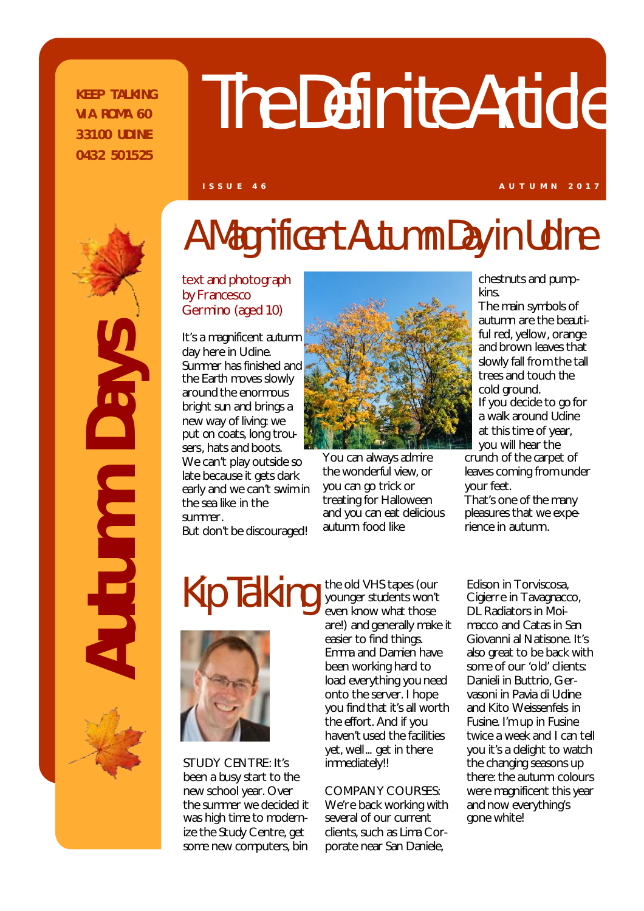**K EEP T AL KING V I A ROM A 6 0 3 31 00 U DIN E 0 43 2 50 15 25**

# The Definite Article

**I S S U E 4 6 A U T U M N 2 0 1 7**

*Autumn Days*  SAR utumn

# A Magnificent Autumn Day in Udine

text and photograph by Francesco Germino (aged 10)

It's a magnificent autumn day here in Udine. Summer has finished and the Earth moves slowly around the enormous bright sun and brings a new way of living: we put on coats, long trousers, hats and boots. We can't play outside so late because it gets dark early and we can't swim in the sea like in the summer.

But don't be discouraged!



You can always admire the wonderful view, or you can go trick or treating for Halloween and you can eat delicious autumn food like

chestnuts and pumpkins.

The main symbols of autumn are the beautiful red, yellow, orange and brown leaves that slowly fall from the tall trees and touch the cold ground. If you decide to go for a walk around Udine at this time of year, you will hear the crunch of the carpet of leaves coming from under your feet.

That's one of the many pleasures that we experience in autumn.

# Kip Talking



STUDY CENTRE: It's been a busy start to the new school year. Over the summer we decided it was high time to modernize the Study Centre, get some new computers, bin

the old VHS tapes (our younger students won't even know what those are!) and generally make it easier to find things. Emma and Damien have been working hard to load everything you need onto the server. I hope you find that it's all worth the effort. And if you haven't used the facilities yet, well... get in there immediately!!

### COMPANY COURSES:

We're back working with several of our current clients, such as Lima Corporate near San Daniele,

Edison in Torviscosa, Cigierre in Tavagnacco, DL Radiators in Moimacco and Catas in San Giovanni al Natisone. It's also great to be back with some of our 'old' clients: Danieli in Buttrio, Gervasoni in Pavia di Udine and Kito Weissenfels in Fusine. I'm up in Fusine twice a week and I can tell you it's a delight to watch the changing seasons up there: the autumn colours were magnificent this year and now everything's gone white!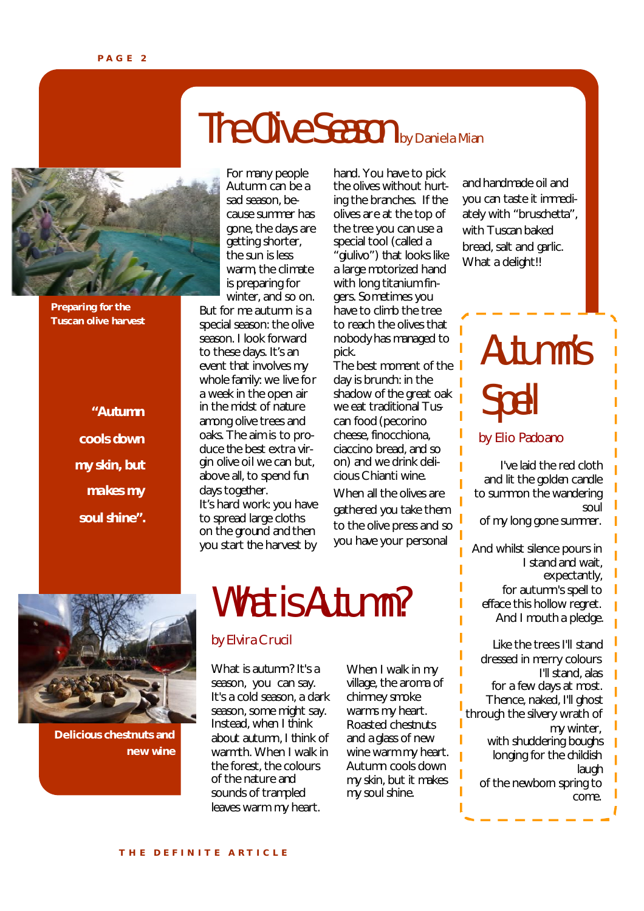# The Olive Season by Daniela Mian



**Preparing for the Tuscan olive harvest**

> *"Autumn cools down my skin, but makes my soul shine".*

**Delicious chestnuts and** 

**new wine**

For many people Autumn can be a sad season, because summer has gone, the days are getting shorter, the sun is less warm, the climate is preparing for winter, and so on.

But for me autumn is a special season: the olive season. I look forward to these days. It's an event that involves my whole family: we live for a week in the open air in the midst of nature among olive trees and oaks. The aim is to produce the best extra virgin olive oil we can but, above all, to spend fun days together. It's hard work: you have

to spread large cloths on the ground and then you start the harvest by hand. You have to pick the olives without hurting the branches. If the olives are at the top of the tree you can use a special tool (called a "giulivo") that looks like a large motorized hand with long titanium fingers. Sometimes you have to climb the tree to reach the olives that nobody has managed to pick.

The best moment of the day is brunch: in the shadow of the great oak we eat traditional Tuscan food (pecorino cheese, finocchiona, ciaccino bread, and so on) and we drink delicious Chianti wine.

When all the olives are gathered you take them to the olive press and so you have your personal

# What is Autumn?

### by Elvira Crucil

What is autumn? It's a season, you can say. It's a cold season, a dark season, some might say. Instead, when I think about autumn, I think of warmth. When I walk in the forest, the colours of the nature and sounds of trampled leaves warm my heart.

When I walk in my village, the aroma of chimney smoke warms my heart. Roasted chestnuts and a glass of new wine warm my heart. Autumn cools down my skin, but it makes my soul shine.

and handmade oil and you can taste it immediately with "bruschetta", with Tuscan baked bread, salt and garlic. What a delight!!

# Autumn's Spell

by Elio Padoano

I've laid the red cloth and lit the golden candle to summon the wandering soul of my long gone summer. And whilst silence pours in I stand and wait, expectantly, for autumn's spell to efface this hollow regret. And I mouth a pledge. Like the trees I'll stand dressed in merry colours I'll stand, alas for a few days at most. Thence, naked, I'll ghost through the silvery wrath of my winter, with shuddering boughs longing for the childish laugh of the newborn spring to come.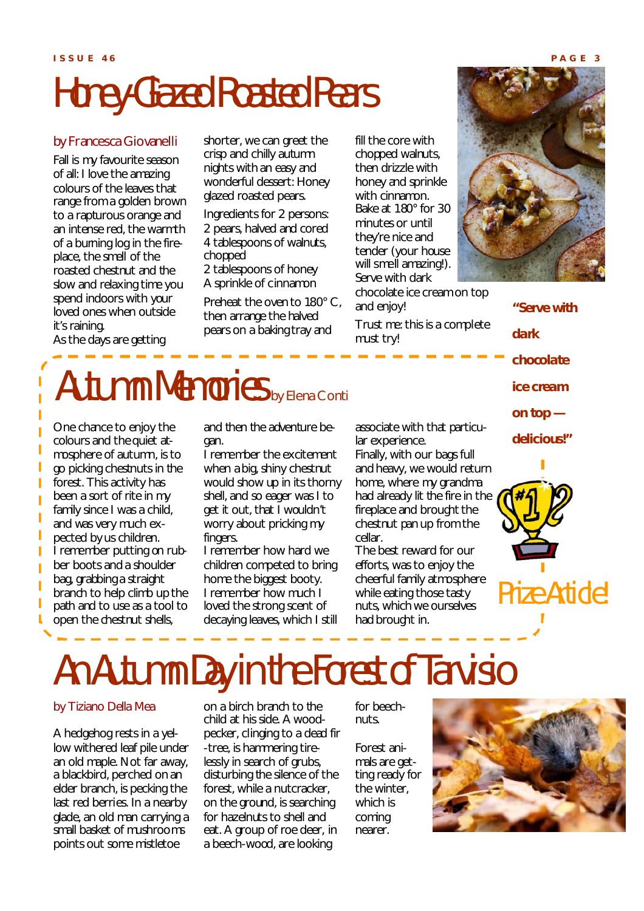# Honey-Glazed Roasted Pears

### by Francesca Giovanelli

Fall is my favourite season of all: I love the amazing colours of the leaves that range from a golden brown to a rapturous orange and an intense red, the warmth of a burning log in the fireplace, the smell of the roasted chestnut and the slow and relaxing time you spend indoors with your loved ones when outside it's raining.

As the days are getting

T

Π

I

shorter, we can greet the crisp and chilly autumn nights with an easy and wonderful dessert: Honey glazed roasted pears.

Ingredients for 2 persons: 2 pears, halved and cored 4 tablespoons of walnuts, chopped

2 tablespoons of honey A sprinkle of cinnamon

Preheat the oven to 180° C, then arrange the halved pears on a baking tray and

fill the core with chopped walnuts, then drizzle with honey and sprinkle with cinnamon. Bake at 180° for 30 minutes or until they're nice and tender (your house will smell amazing!). Serve with dark chocolate ice cream on top and enjoy!

Trust me: this is a complete must try!



*dark chocolate ice cream on top delicious!"*

*"Serve with* 



### Autumn Memories by Elena Conti

One chance to enjoy the colours and the quiet atmosphere of autumn, is to go picking chestnuts in the forest. This activity has been a sort of rite in my family since I was a child, and was very much expected by us children. I remember putting on rubber boots and a shoulder bag, grabbing a straight branch to help climb up the path and to use as a tool to open the chestnut shells,

and then the adventure began.

I remember the excitement when a big, shiny chestnut would show up in its thorny shell, and so eager was I to get it out, that I wouldn't worry about pricking my fingers.

I remember how hard we children competed to bring home the biggest booty. I remember how much I loved the strong scent of decaying leaves, which I still associate with that particular experience.

Finally, with our bags full and heavy, we would return home, where my grandma had already lit the fire in the fireplace and brought the chestnut pan up from the cellar.

The best reward for our efforts, was to enjoy the cheerful family atmosphere while eating those tasty nuts, which we ourselves had brought in.

# An Autumn Day in the Forest of Tarvisio

### by Tiziano Della Mea

A hedgehog rests in a yellow withered leaf pile under an old maple. Not far away, a blackbird, perched on an elder branch, is pecking the last red berries. In a nearby glade, an old man carrying a small basket of mushrooms points out some mistletoe

on a birch branch to the child at his side. A woodpecker, clinging to a dead fir -tree, is hammering tirelessly in search of grubs, disturbing the silence of the forest, while a nutcracker, on the ground, is searching for hazelnuts to shell and eat. A group of roe deer, in a beech-wood, are looking

for beechnuts.

Forest animals are getting ready for the winter, which is coming nearer.

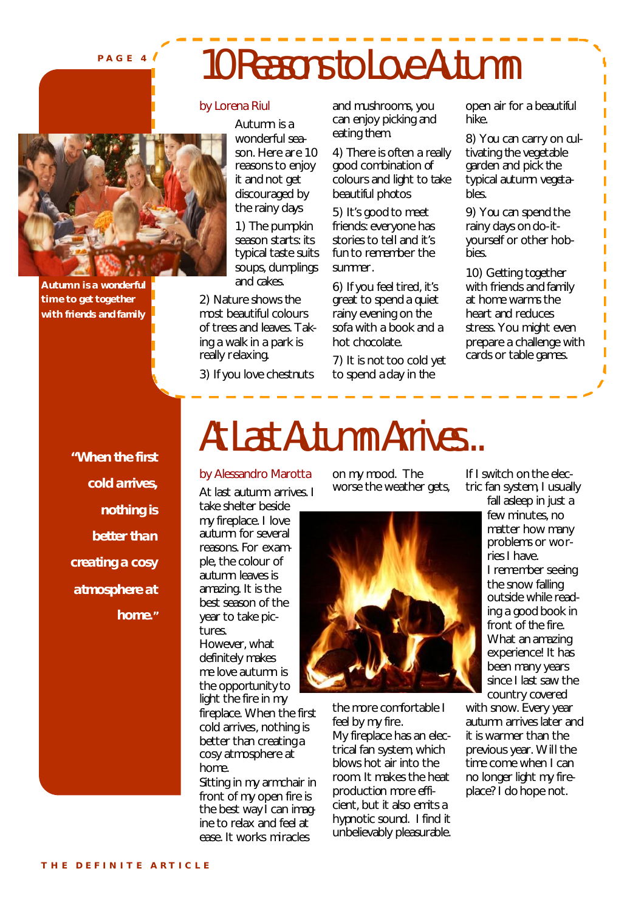### **P A G E 4**

# 10 Reasons to Love Autumn



**Autumn is a wonderful time to get together with friends and family**

*"When the first cold arrives, nothing is better than atmosphere at home."*

### by Lorena Riul

Autumn is a wonderful season. Here are 10 reasons to enjoy it and not get discouraged by the rainy days

1) The pumpkin season starts: its typical taste suits soups, dumplings and cakes.

2) Nature shows the most beautiful colours of trees and leaves. Taking a walk in a park is really relaxing.

3) If you love chestnuts

and mushrooms, you can enjoy picking and eating them.

4) There is often a really good combination of colours and light to take beautiful photos

5) It's good to meet friends: everyone has stories to tell and it's fun to remember the summer.

6) If you feel tired, it's great to spend a quiet rainy evening on the sofa with a book and a hot chocolate.

7) It is not too cold yet to spend a day in the

open air for a beautiful hike.

8) You can carry on cultivating the vegetable garden and pick the typical autumn vegetables.

ı

Ï

ī ı

9) You can spend the rainy days on do-ityourself or other hobbies.

10) Getting together with friends and family at home warms the heart and reduces stress. You might even prepare a challenge with cards or table games.

*creating a cosy* 

### At Last Autumn Arrives...

### by Alessandro Marotta

At last autumn arrives. I take shelter beside

my fireplace. I love autumn for several reasons. For example, the colour of autumn leaves is amazing. It is the best season of the year to take pictures.

However, what definitely makes me love autumn is the opportunity to light the fire in my fireplace. When the first cold arrives, nothing is better than creating a cosy atmosphere at home.

Sitting in my armchair in front of my open fire is the best way I can imagine to relax and feel at ease. It works miracles

on my mood. The worse the weather gets,



the more comfortable I feel by my fire. My fireplace has an electrical fan system, which blows hot air into the room. It makes the heat production more efficient, but it also emits a hypnotic sound. I find it unbelievably pleasurable. If I switch on the electric fan system, I usually

fall asleep in just a few minutes, no matter how many problems or worries I have. I remember seeing the snow falling outside while reading a good book in front of the fire. What an amazing experience! It has been many years since I last saw the country covered with snow. Every year

autumn arrives later and it is warmer than the previous year. Will the time come when I can no longer light my fireplace? I do hope not.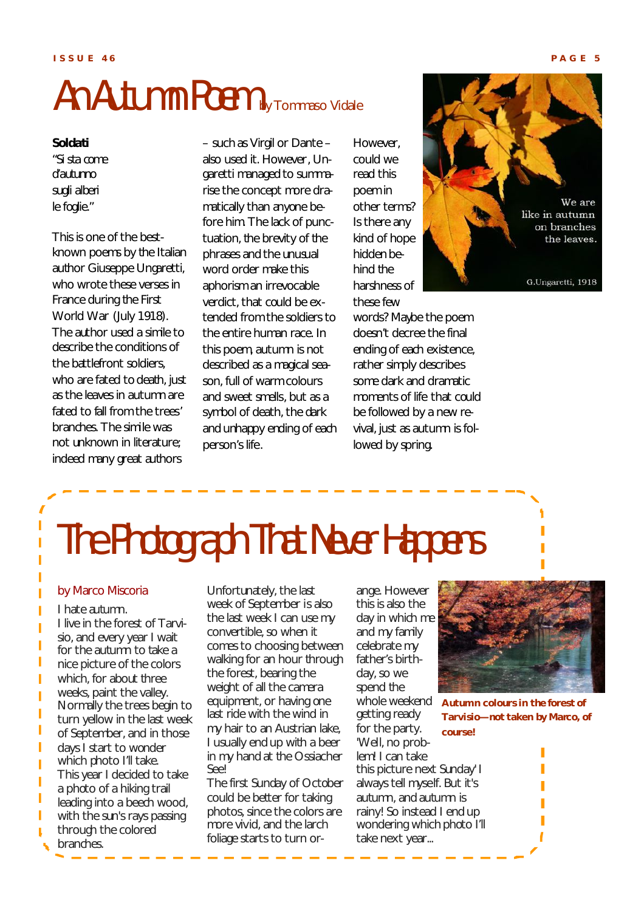# An Autumn Poem by Tommaso Vidale

### *Soldati*

*"Si sta come d'autunno sugli alberi le foglie."*

This is one of the bestknown poems by the Italian author Giuseppe Ungaretti, who wrote these verses in France during the First World War (July 1918). The author used a simile to describe the conditions of the battlefront soldiers, who are fated to death, just as the leaves in autumn are fated to fall from the trees' branches. The simile was not unknown in literature; indeed many great authors

– such as Virgil or Dante – also used it. However, Ungaretti managed to summarise the concept more dramatically than anyone before him. The lack of punctuation, the brevity of the phrases and the unusual word order make this aphorism an irrevocable verdict, that could be extended from the soldiers to the entire human race. In this poem, autumn is not described as a magical season, full of warm colours and sweet smells, but as a symbol of death, the dark and unhappy ending of each person's life.

However, could we read this poem in other terms? Is there any kind of hope hidden behind the harshness of these few

words? Maybe the poem doesn't decree the final ending of each existence, rather simply describes some dark and dramatic moments of life that could be followed by a new revival, just as autumn is followed by spring.



# The Photograph That Never Happens

### by Marco Miscoria

I hate autumn. I live in the forest of Tarvisio, and every year I wait for the autumn to take a nice picture of the colors which, for about three weeks, paint the valley. Normally the trees begin to turn yellow in the last week of September, and in those days I start to wonder which photo I'll take. This year I decided to take a photo of a hiking trail leading into a beech wood, with the sun's rays passing through the colored branches.

Unfortunately, the last week of September is also the last week I can use my convertible, so when it comes to choosing between walking for an hour through the forest, bearing the weight of all the camera equipment, or having one last ride with the wind in my hair to an Austrian lake, I usually end up with a beer in my hand at the Ossiacher See!

The first Sunday of October could be better for taking photos, since the colors are more vivid, and the larch foliage starts to turn or-

ange. However this is also the day in which me and my family celebrate my father's birthday, so we spend the whole weekend getting ready for the party. 'Well, no problem! I can take this picture next Sunday' I always tell myself. But it's autumn, and autumn is rainy! So instead I end up wondering which photo I'll take next year...



**Autumn colours in the forest of Tarvisio—not taken by Marco, of course!**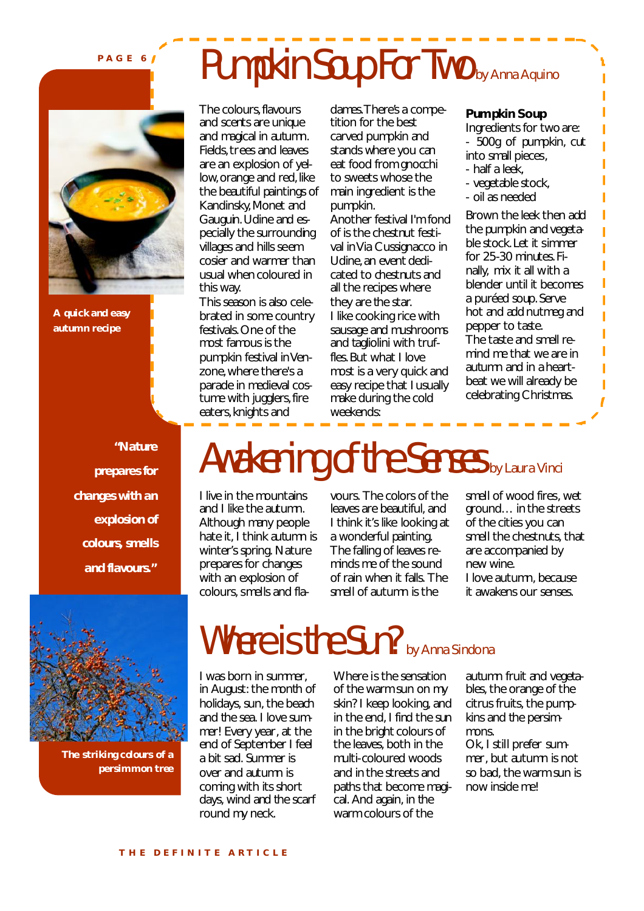**P A G E 6**

**A quick and easy autumn recipe**

*"Nature prepares for changes with an explosion of colours, smells and flavours."*

## Pumpkin Soup For Two by Anna Aquino

The colours, flavours and scents are unique and magical in autumn. Fields, trees and leaves are an explosion of yellow, orange and red, like the beautiful paintings of Kandinsky, Monet and Gauguin. Udine and especially the surrounding villages and hills seem cosier and warmer than usual when coloured in this way.

This season is also celebrated in some country festivals. One of the most famous is the pumpkin festival in Venzone, where there's a parade in medieval costume with jugglers, fire eaters, knights and

dames. There's a competition for the best carved pumpkin and stands where you can eat food from gnocchi to sweets whose the main ingredient is the pumpkin.

Another festival I'm fond of is the chestnut festival in Via Cussignacco in Udine, an event dedicated to chestnuts and all the recipes where they are the star. I like cooking rice with sausage and mushrooms and tagliolini with truffles. But what I love most is a very quick and easy recipe that I usually make during the cold weekends:

### **Pumpkin Soup**

Ingredients for two are: - 500g of pumpkin, cut into small pieces, - half a leek,

I

I Ï Ï I Ī Ī Ī Ī Ī

- vegetable stock,
- oil as needed

Brown the leek then add the pumpkin and vegetable stock. Let it simmer for 25-30 minutes. Finally, mix it all with a blender until it becomes a puréed soup. Serve hot and add nutmeg and pepper to taste. The taste and smell remind me that we are in autumn and in a heartbeat we will already be celebrating Christmas.

## Awakening of the Senses by Laura Vinci

I live in the mountains and I like the autumn. Although many people hate it, I think autumn is winter's spring. Nature prepares for changes with an explosion of colours, smells and flavours. The colors of the leaves are beautiful, and I think it's like looking at a wonderful painting. The falling of leaves reminds me of the sound of rain when it falls. The smell of autumn is the

smell of wood fires, wet ground… in the streets of the cities you can smell the chestnuts, that are accompanied by new wine. I love autumn, because it awakens our senses.



**The striking colours of a persimmon tree**

### Where is the Sun? by Anna Sindona

I was born in summer, in August: the month of holidays, sun, the beach and the sea. I love summer! Every year, at the end of September I feel a bit sad. Summer is over and autumn is coming with its short days, wind and the scarf round my neck.

Where is the sensation of the warm sun on my skin? I keep looking, and in the end, I find the sun in the bright colours of the leaves, both in the multi-coloured woods and in the streets and paths that become magical. And again, in the warm colours of the

autumn fruit and vegetables, the orange of the citrus fruits, the pumpkins and the persimmons. Ok, I still prefer sum-

mer, but autumn is not so bad, the warm sun is now inside me!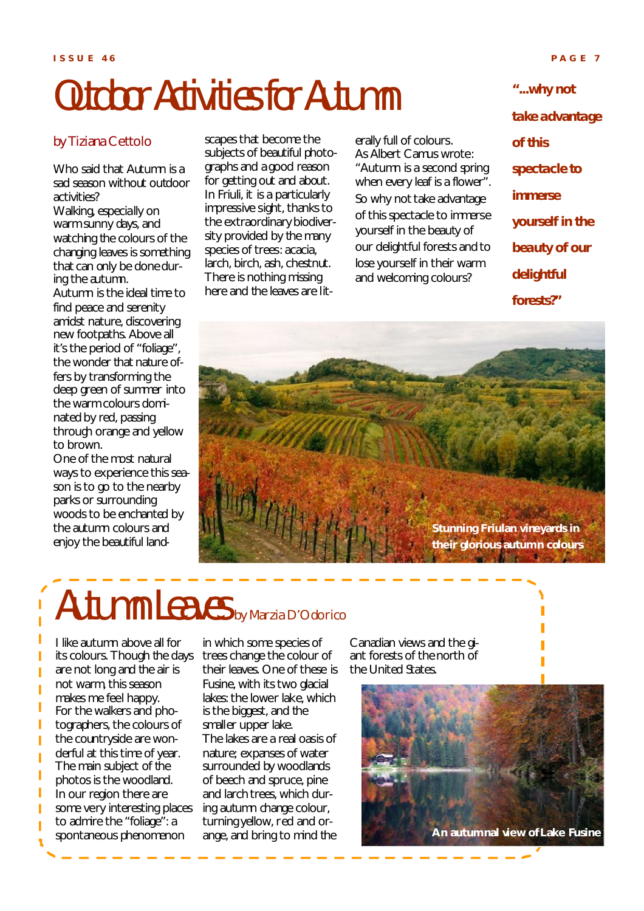# Outdoor Activities for Autumn

### by Tiziana Cettolo

Who said that Autumn is a sad season without outdoor activities?

Walking, especially on warm sunny days, and watching the colours of the changing leaves is something that can only be done during the autumn.

Autumn is the ideal time to find peace and serenity amidst nature, discovering new footpaths. Above all it's the period of "foliage", the wonder that nature offers by transforming the deep green of summer into the warm colours dominated by red, passing through orange and yellow to brown.

One of the most natural ways to experience this season is to go to the nearby parks or surrounding woods to be enchanted by the autumn colours and enjoy the beautiful landscapes that become the subjects of beautiful photographs and a good reason for getting out and about. In Friuli, it is a particularly impressive sight, thanks to the extraordinary biodiversity provided by the many species of trees: acacia, larch, birch, ash, chestnut. There is nothing missing here and the leaves are literally full of colours. As Albert Camus wrote: "Autumn is a second spring when every leaf is a flower". So why not take advantage of this spectacle to immerse yourself in the beauty of our delightful forests and to lose yourself in their warm and welcoming colours?

*"...why not take advantage of this spectacle to immerse yourself in the beauty of our delightful forests?"*



# Autumn Leaves by Marzia D'Odorico

I like autumn above all for its colours. Though the days are not long and the air is not warm, this season makes me feel happy. For the walkers and photographers, the colours of the countryside are wonderful at this time of year. The main subject of the photos is the woodland. In our region there are some very interesting places to admire the "foliage": a spontaneous phenomenon

in which some species of trees change the colour of their leaves. One of these is Fusine, with its two glacial lakes: the lower lake, which is the biggest, and the smaller upper lake. The lakes are a real oasis of nature; expanses of water surrounded by woodlands of beech and spruce, pine and larch trees, which during autumn change colour, turning yellow, red and orange, and bring to mind the

Canadian views and the giant forests of the north of the United States.

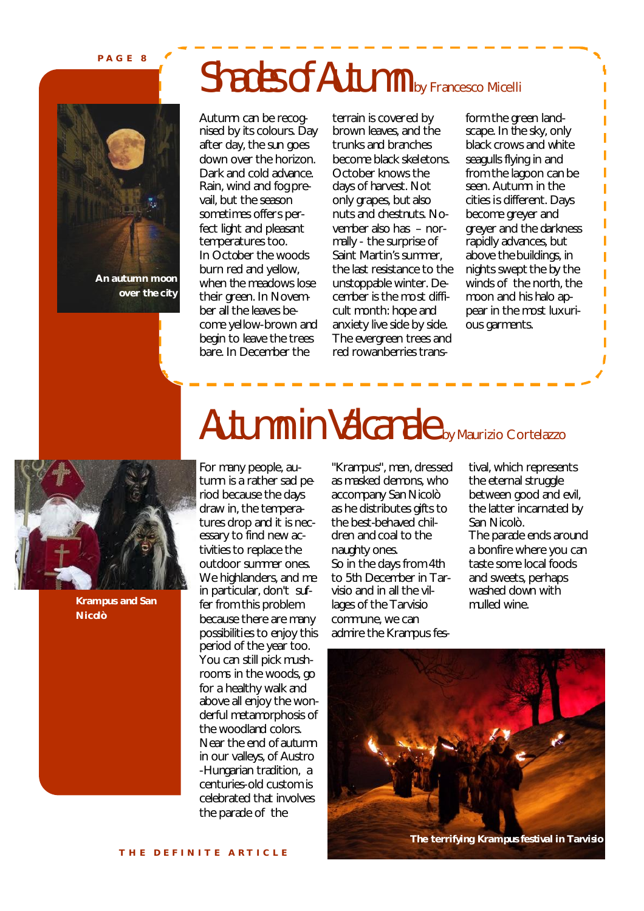**P A G E 8**

# **An autumn moon over the city**

# Shades of Autumn by Francesco Micelli

Autumn can be recognised by its colours. Day after day, the sun goes down over the horizon. Dark and cold advance. Rain, wind and fog prevail, but the season sometimes offers perfect light and pleasant temperatures too. In October the woods burn red and yellow, when the meadows lose their green. In November all the leaves become yellow-brown and begin to leave the trees bare. In December the

terrain is covered by brown leaves, and the trunks and branches become black skeletons. October knows the days of harvest. Not only grapes, but also nuts and chestnuts. November also has – normally - the surprise of Saint Martin's summer, the last resistance to the unstoppable winter. December is the most difficult month: hope and anxiety live side by side. The evergreen trees and red rowanberries trans-

form the green landscape. In the sky, only black crows and white seagulls flying in and from the lagoon can be seen. Autumn in the cities is different. Days become greyer and greyer and the darkness rapidly advances, but above the buildings, in nights swept the by the winds of the north, the moon and his halo appear in the most luxurious garments.

ī

ı Ī

ï



**Krampus and San Nicolò**

# Autumn in Valcanale by Maurizio Cortelazzo

For many people, autumn is a rather sad period because the days draw in, the temperatures drop and it is necessary to find new activities to replace the outdoor summer ones. We highlanders, and me in particular, don't suffer from this problem because there are many possibilities to enjoy this period of the year too. You can still pick mushrooms in the woods, go for a healthy walk and above all enjoy the wonderful metamorphosis of the woodland colors. Near the end of autumn in our valleys, of Austro -Hungarian tradition, a centuries-old custom is celebrated that involves the parade of the

"Krampus", men, dressed as masked demons, who accompany San Nicolò as he distributes gifts to the best-behaved children and coal to the naughty ones. So in the days from 4th to 5th December in Tarvisio and in all the villages of the Tarvisio commune, we can admire the Krampus festival, which represents the eternal struggle between good and evil, the latter incarnated by San Nicolò. The parade ends around a bonfire where you can taste some local foods and sweets, perhaps washed down with mulled wine.

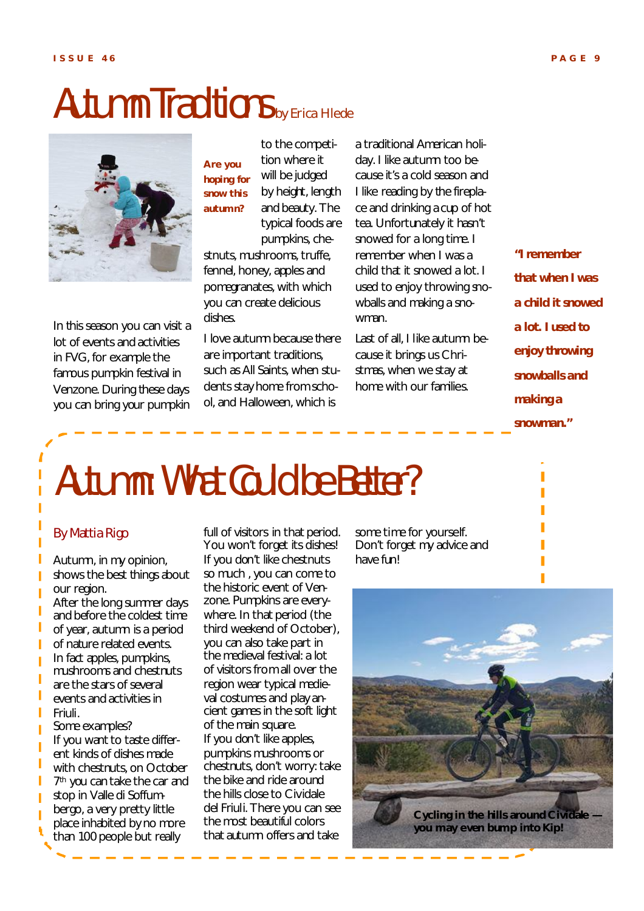### Autumn Traditions by Erica Hlede



In this season you can visit a lot of events and activities in FVG, for example the famous pumpkin festival in Venzone. During these days you can bring your pumpkin

to the competition where it will be judged by height, length and beauty. The typical foods are **Are you hoping for snow this autumn?**

pumpkins, chestnuts, mushrooms, truffe, fennel, honey, apples and pomegranates, with which you can create delicious dishes.

I love autumn because there are important traditions, such as All Saints, when students stay home from school, and Halloween, which is

a traditional American holiday. I like autumn too because it's a cold season and I like reading by the fireplace and drinking a cup of hot tea. Unfortunately it hasn't snowed for a long time. I remember when I was a child that it snowed a lot. I used to enjoy throwing snowballs and making a snowman.

Last of all, I like autumn because it brings us Christmas, when we stay at home with our families.

*"I remember that when I was a child it snowed a lot. I used to enjoy throwing snowballs and making a snowman."*

# Autumn: What Could be Better?

### By Mattia Rigo

I Ï

I

I

Autumn, in my opinion, shows the best things about our region.

After the long summer days and before the coldest time of year, autumn is a period of nature related events. In fact apples, pumpkins, mushrooms and chestnuts are the stars of several events and activities in Friuli. Some examples?

If you want to taste different kinds of dishes made with chestnuts, on October 7 th you can take the car and stop in Valle di Soffumbergo, a very pretty little place inhabited by no more than 100 people but really

full of visitors in that period. You won't forget its dishes! If you don't like chestnuts so much , you can come to the historic event of Venzone. Pumpkins are everywhere. In that period (the third weekend of October), you can also take part in the medieval festival: a lot of visitors from all over the region wear typical medieval costumes and play ancient games in the soft light of the main square. If you don't like apples, pumpkins mushrooms or chestnuts, don't worry: take the bike and ride around the hills close to Cividale del Friuli. There you can see the most beautiful colors that autumn offers and take

some time for yourself. Don't forget my advice and have fun!